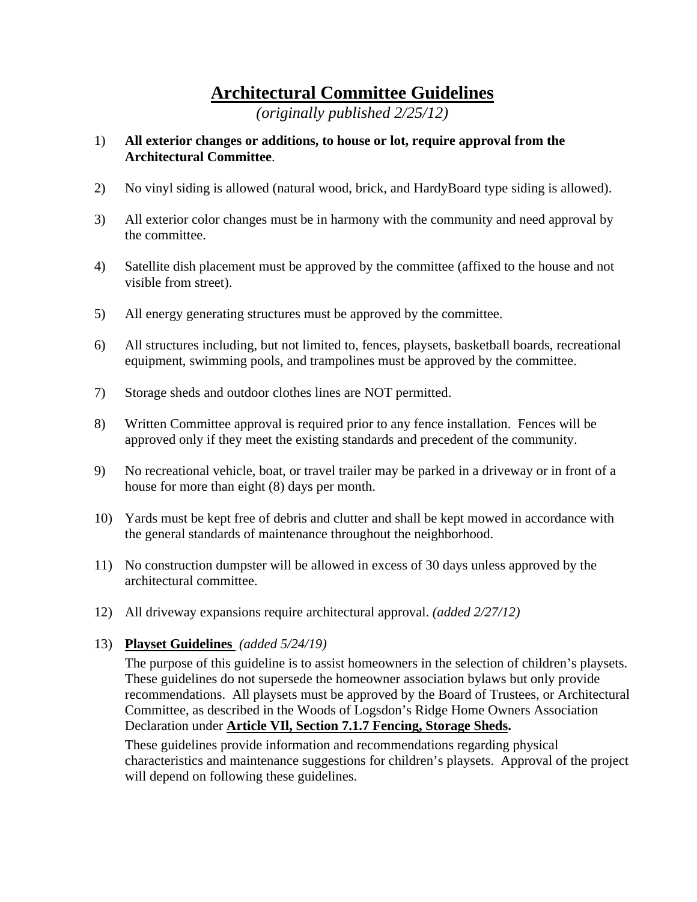# **Architectural Committee Guidelines**

*(originally published 2/25/12)*

#### 1) **All exterior changes or additions, to house or lot, require approval from the Architectural Committee**.

- 2) No vinyl siding is allowed (natural wood, brick, and HardyBoard type siding is allowed).
- 3) All exterior color changes must be in harmony with the community and need approval by the committee.
- 4) Satellite dish placement must be approved by the committee (affixed to the house and not visible from street).
- 5) All energy generating structures must be approved by the committee.
- 6) All structures including, but not limited to, fences, playsets, basketball boards, recreational equipment, swimming pools, and trampolines must be approved by the committee.
- 7) Storage sheds and outdoor clothes lines are NOT permitted.
- 8) Written Committee approval is required prior to any fence installation. Fences will be approved only if they meet the existing standards and precedent of the community.
- 9) No recreational vehicle, boat, or travel trailer may be parked in a driveway or in front of a house for more than eight (8) days per month.
- 10) Yards must be kept free of debris and clutter and shall be kept mowed in accordance with the general standards of maintenance throughout the neighborhood.
- 11) No construction dumpster will be allowed in excess of 30 days unless approved by the architectural committee.
- 12) All driveway expansions require architectural approval. *(added 2/27/12)*

#### 13) **Playset Guidelines** *(added 5/24/19)*

The purpose of this guideline is to assist homeowners in the selection of children's playsets. These guidelines do not supersede the homeowner association bylaws but only provide recommendations. All playsets must be approved by the Board of Trustees, or Architectural Committee, as described in the Woods of Logsdon's Ridge Home Owners Association Declaration under **Article VIl, Section 7.1.7 Fencing, Storage Sheds.**

These guidelines provide information and recommendations regarding physical characteristics and maintenance suggestions for children's playsets. Approval of the project will depend on following these guidelines.